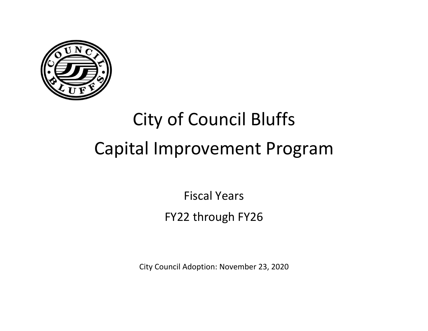

# City of Council Bluffs Capital Improvement Program

Fiscal Years FY22 through FY26

City Council Adoption: November 23, 2020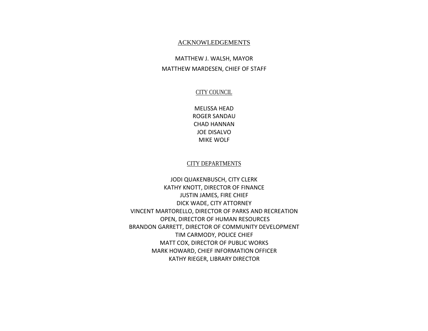#### ACKNOWLEDGEMENTS

### MATTHEW J. WALSH, MAYOR MATTHEW MARDESEN, CHIEF OF STAFF

#### CITY COUNCIL

MELISSA HEAD ROGER SANDAU CHAD HANNAN JOE DISALVO MIKE WOLF

#### CITY DEPARTMENTS

JODI QUAKENBUSCH, CITY CLERK KATHY KNOTT, DIRECTOR OF FINANCE JUSTIN JAMES, FIRE CHIEF DICK WADE, CITY ATTORNEY VINCENT MARTORELLO, DIRECTOR OF PARKS AND RECREATION OPEN, DIRECTOR OF HUMAN RESOURCES BRANDON GARRETT, DIRECTOR OF COMMUNITY DEVELOPMENT TIM CARMODY, POLICE CHIEF MATT COX, DIRECTOR OF PUBLIC WORKS MARK HOWARD, CHIEF INFORMATION OFFICER KATHY RIEGER, LIBRARY DIRECTOR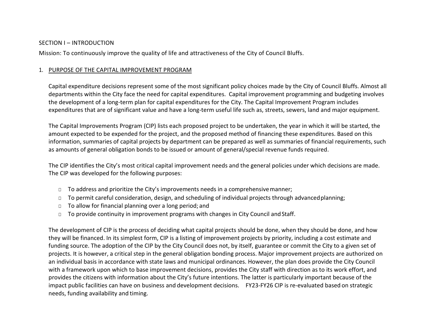#### SECTION I – INTRODUCTION

Mission: To continuously improve the quality of life and attractiveness of the City of Council Bluffs.

#### 1. PURPOSE OF THE CAPITAL IMPROVEMENT PROGRAM

Capital expenditure decisions represent some of the most significant policy choices made by the City of Council Bluffs. Almost all departments within the City face the need for capital expenditures. Capital improvement programming and budgeting involves the development of a long-term plan for capital expenditures for the City. The Capital Improvement Program includes expenditures that are of significant value and have a long-term useful life such as, streets, sewers, land and major equipment.

The Capital Improvements Program (CIP) lists each proposed project to be undertaken, the year in which it will be started, the amount expected to be expended for the project, and the proposed method of financing these expenditures. Based on this information, summaries of capital projects by department can be prepared as well as summaries of financial requirements, such as amounts of general obligation bonds to be issued or amount of general/special revenue funds required.

The CIP identifies the City's most critical capital improvement needs and the general policies under which decisions are made. The CIP was developed for the following purposes:

- □ To address and prioritize the City's improvements needs in a comprehensivemanner;
- □ To permit careful consideration, design, and scheduling of individual projects through advanced planning;
- □ To allow for financial planning over a long period; and
- □ To provide continuity in improvement programs with changes in City Council and Staff.

The development of CIP is the process of deciding what capital projects should be done, when they should be done, and how they will be financed. In its simplest form, CIP is a listing of improvement projects by priority, including a cost estimate and funding source. The adoption of the CIP by the City Council does not, by itself, guarantee or commit the City to a given set of projects. It is however, a critical step in the general obligation bonding process. Major improvement projects are authorized on an individual basis in accordance with state laws and municipal ordinances. However, the plan does provide the City Council with a framework upon which to base improvement decisions, provides the City staff with direction as to its work effort, and provides the citizens with information about the City's future intentions. The latter is particularly important because of the impact public facilities can have on business and development decisions. FY23-FY26 CIP is re-evaluated based on strategic needs, funding availability and timing.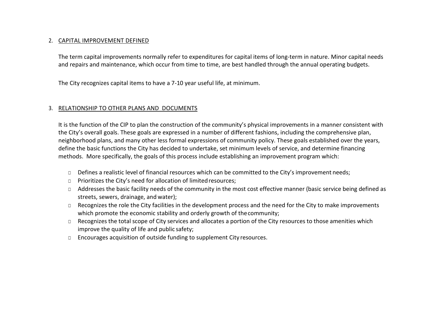#### 2. CAPITAL IMPROVEMENT DEFINED

The term capital improvements normally refer to expenditures for capital items of long-term in nature. Minor capital needs and repairs and maintenance, which occur from time to time, are best handled through the annual operating budgets.

The City recognizes capital items to have a 7-10 year useful life, at minimum.

#### 3. RELATIONSHIP TO OTHER PLANS AND DOCUMENTS

It is the function of the CIP to plan the construction of the community's physical improvements in a manner consistent with the City's overall goals. These goals are expressed in a number of different fashions, including the comprehensive plan, neighborhood plans, and many other less formal expressions of community policy. These goals established over the years, define the basic functions the City has decided to undertake, set minimum levels of service, and determine financing methods. More specifically, the goals of this process include establishing an improvement program which:

- □ Defines a realistic level of financial resources which can be committed to the City's improvement needs;
- □ Prioritizes the City's need for allocation of limited resources;
- □ Addresses the basic facility needs of the community in the most cost effective manner (basic service being defined as streets, sewers, drainage, and water);
- □ Recognizes the role the City facilities in the development process and the need for the City to make improvements which promote the economic stability and orderly growth of the community;
- □ Recognizes the total scope of City services and allocates a portion of the City resources to those amenities which improve the quality of life and public safety;
- □ Encourages acquisition of outside funding to supplement City resources.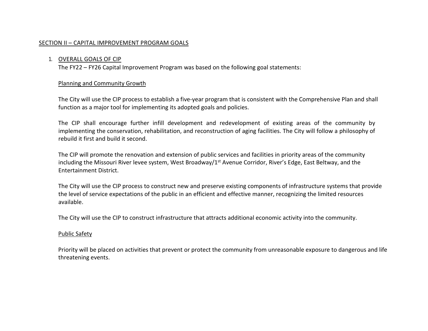#### SECTION II – CAPITAL IMPROVEMENT PROGRAM GOALS

#### 1. OVERALL GOALS OF CIP

The FY22 – FY26 Capital Improvement Program was based on the following goal statements:

#### Planning and Community Growth

The City will use the CIP process to establish a five-year program that is consistent with the Comprehensive Plan and shall function as a major tool for implementing its adopted goals and policies.

The CIP shall encourage further infill development and redevelopment of existing areas of the community by implementing the conservation, rehabilitation, and reconstruction of aging facilities. The City will follow a philosophy of rebuild it first and build it second.

The CIP will promote the renovation and extension of public services and facilities in priority areas of the community including the Missouri River levee system, West Broadway/1<sup>st</sup> Avenue Corridor, River's Edge, East Beltway, and the Entertainment District.

The City will use the CIP process to construct new and preserve existing components of infrastructure systems that provide the level of service expectations of the public in an efficient and effective manner, recognizing the limited resources available.

The City will use the CIP to construct infrastructure that attracts additional economic activity into the community.

#### Public Safety

Priority will be placed on activities that prevent or protect the community from unreasonable exposure to dangerous and life threatening events.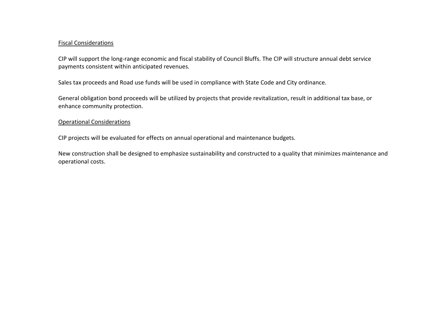#### Fiscal Considerations

CIP will support the long-range economic and fiscal stability of Council Bluffs. The CIP will structure annual debt service payments consistent within anticipated revenues.

Sales tax proceeds and Road use funds will be used in compliance with State Code and City ordinance.

General obligation bond proceeds will be utilized by projects that provide revitalization, result in additional tax base, or enhance community protection.

#### Operational Considerations

CIP projects will be evaluated for effects on annual operational and maintenance budgets.

New construction shall be designed to emphasize sustainability and constructed to a quality that minimizes maintenance and operational costs.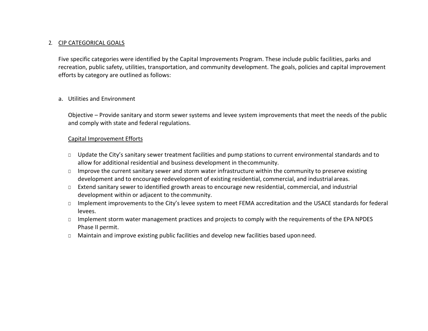#### 2. CIP CATEGORICAL GOALS

Five specific categories were identified by the Capital Improvements Program. These include public facilities, parks and recreation, public safety, utilities, transportation, and community development. The goals, policies and capital improvement efforts by category are outlined as follows:

#### a. Utilities and Environment

Objective – Provide sanitary and storm sewer systems and levee system improvements that meet the needs of the public and comply with state and federal regulations.

#### Capital Improvement Efforts

- □ Update the City's sanitary sewer treatment facilities and pump stations to current environmental standards and to allow for additional residential and business development in thecommunity.
- □ Improve the current sanitary sewer and storm water infrastructure within the community to preserve existing development and to encourage redevelopment of existing residential, commercial, and industrial areas.
- □ Extend sanitary sewer to identified growth areas to encourage new residential, commercial, and industrial development within or adjacent to the community.
- □ Implement improvements to the City's levee system to meet FEMA accreditation and the USACE standards for federal levees.
- □ Implement storm water management practices and projects to comply with the requirements of the EPA NPDES Phase II permit.
- □ Maintain and improve existing public facilities and develop new facilities based upon need.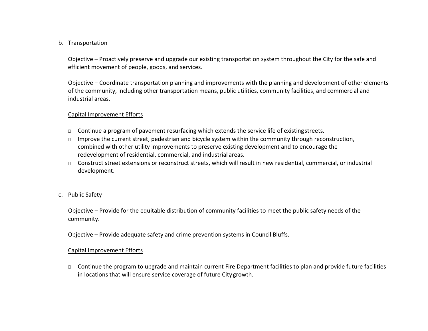#### b. Transportation

Objective – Proactively preserve and upgrade our existing transportation system throughout the City for the safe and efficient movement of people, goods, and services.

Objective – Coordinate transportation planning and improvements with the planning and development of other elements of the community, including other transportation means, public utilities, community facilities, and commercial and industrial areas.

#### Capital Improvement Efforts

- □ Continue a program of pavement resurfacing which extends the service life of existingstreets.
- □ Improve the current street, pedestrian and bicycle system within the community through reconstruction, combined with other utility improvements to preserve existing development and to encourage the redevelopment of residential, commercial, and industrial areas.
- □ Construct street extensions or reconstruct streets, which will result in new residential, commercial, or industrial development.
- c. Public Safety

Objective – Provide for the equitable distribution of community facilities to meet the public safety needs of the community.

Objective – Provide adequate safety and crime prevention systems in Council Bluffs.

#### Capital Improvement Efforts

□ Continue the program to upgrade and maintain current Fire Department facilities to plan and provide future facilities in locations that will ensure service coverage of future City growth.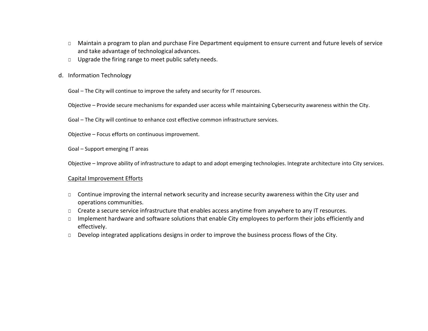- □ Maintain a program to plan and purchase Fire Department equipment to ensure current and future levels of service and take advantage of technological advances.
- □ Upgrade the firing range to meet public safety needs.
- d. Information Technology

Goal – The City will continue to improve the safety and security for IT resources.

Objective – Provide secure mechanisms for expanded user access while maintaining Cybersecurity awareness within the City.

Goal – The City will continue to enhance cost effective common infrastructure services.

Objective – Focus efforts on continuous improvement.

Goal – Support emerging IT areas

Objective – Improve ability of infrastructure to adapt to and adopt emerging technologies. Integrate architecture into City services.

#### Capital Improvement Efforts

- □ Continue improving the internal network security and increase security awareness within the City user and operations communities.
- □ Create a secure service infrastructure that enables access anytime from anywhere to any IT resources.
- □ Implement hardware and software solutions that enable City employees to perform their jobs efficiently and effectively.
- □ Develop integrated applications designs in order to improve the business process flows of the City.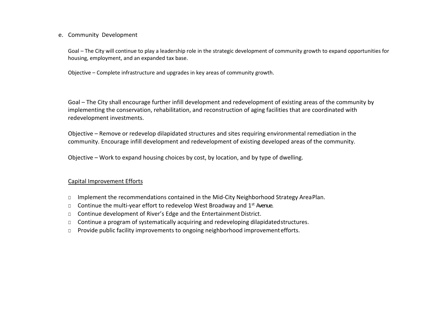e. Community Development

Goal – The City will continue to play a leadership role in the strategic development of community growth to expand opportunities for housing, employment, and an expanded tax base.

Objective – Complete infrastructure and upgrades in key areas of community growth.

Goal – The City shall encourage further infill development and redevelopment of existing areas of the community by implementing the conservation, rehabilitation, and reconstruction of aging facilities that are coordinated with redevelopment investments.

Objective – Remove or redevelop dilapidated structures and sites requiring environmental remediation in the community. Encourage infill development and redevelopment of existing developed areas of the community.

Objective – Work to expand housing choices by cost, by location, and by type of dwelling.

#### Capital Improvement Efforts

- □ Implement the recommendations contained in the Mid-City Neighborhood Strategy AreaPlan.
- $\Box$  Continue the multi-year effort to redevelop West Broadway and 1<sup>st</sup> Avenue.
- □ Continue development of River's Edge and the Entertainment District.
- □ Continue a program of systematically acquiring and redeveloping dilapidated structures.
- □ Provide public facility improvements to ongoing neighborhood improvement efforts.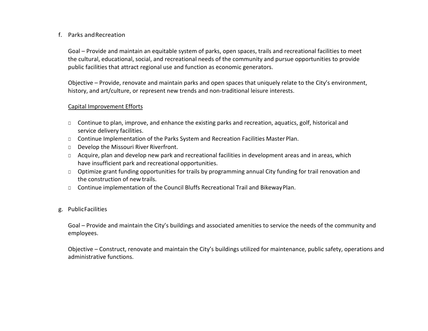#### f. Parks andRecreation

Goal – Provide and maintain an equitable system of parks, open spaces, trails and recreational facilities to meet the cultural, educational, social, and recreational needs of the community and pursue opportunities to provide public facilities that attract regional use and function as economic generators.

Objective – Provide, renovate and maintain parks and open spaces that uniquely relate to the City's environment, history, and art/culture, or represent new trends and non-traditional leisure interests.

#### Capital Improvement Efforts

- □ Continue to plan, improve, and enhance the existing parks and recreation, aquatics, golf, historical and service delivery facilities.
- □ Continue Implementation of the Parks System and Recreation Facilities Master Plan.
- □ Develop the Missouri River Riverfront.
- □ Acquire, plan and develop new park and recreational facilities in development areas and in areas, which have insufficient park and recreational opportunities.
- □ Optimize grant funding opportunities for trails by programming annual City funding for trail renovation and the construction of new trails.
- □ Continue implementation of the Council Bluffs Recreational Trail and BikewayPlan.

#### g. PublicFacilities

Goal – Provide and maintain the City's buildings and associated amenities to service the needs of the community and employees.

Objective – Construct, renovate and maintain the City's buildings utilized for maintenance, public safety, operations and administrative functions.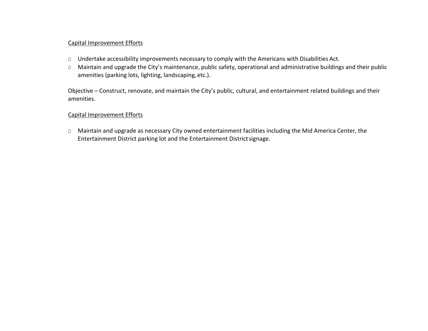#### Capital Improvement Efforts

- □ Undertake accessibility improvements necessary to comply with the Americans with Disabilities Act.
- □ Maintain and upgrade the City's maintenance, public safety, operational and administrative buildings and their public amenities (parking lots, lighting, landscaping, etc.).

Objective – Construct, renovate, and maintain the City's public, cultural, and entertainment related buildings and their amenities.

#### Capital Improvement Efforts

□ Maintain and upgrade as necessary City owned entertainment facilities including the Mid America Center, the Entertainment District parking lot and the Entertainment Districtsignage.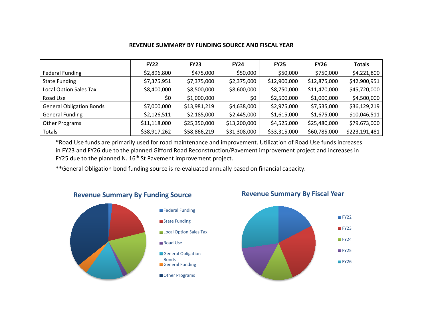#### **REVENUE SUMMARY BY FUNDING SOURCE AND FISCAL YEAR**

|                                 | <b>FY22</b>  | <b>FY23</b>  | <b>FY24</b>  | <b>FY25</b>  | <b>FY26</b>  | <b>Totals</b> |
|---------------------------------|--------------|--------------|--------------|--------------|--------------|---------------|
| <b>Federal Funding</b>          | \$2,896,800  | \$475,000    | \$50,000     | \$50,000     | \$750,000    | \$4,221,800   |
| <b>State Funding</b>            | \$7,375,951  | \$7,375,000  | \$2,375,000  | \$12,900,000 | \$12,875,000 | \$42,900,951  |
| <b>Local Option Sales Tax</b>   | \$8,400,000  | \$8,500,000  | \$8,600,000  | \$8,750,000  | \$11,470,000 | \$45,720,000  |
| Road Use                        | \$0          | \$1,000,000  | \$0          | \$2,500,000  | \$1,000,000  | \$4,500,000   |
| <b>General Obligation Bonds</b> | \$7,000,000  | \$13,981,219 | \$4,638,000  | \$2,975,000  | \$7,535,000  | \$36,129,219  |
| <b>General Funding</b>          | \$2,126,511  | \$2,185,000  | \$2,445,000  | \$1,615,000  | \$1,675,000  | \$10,046,511  |
| Other Programs                  | \$11,118,000 | \$25,350,000 | \$13,200,000 | \$4,525,000  | \$25,480,000 | \$79,673,000  |
| Totals                          | \$38,917,262 | \$58,866,219 | \$31,308,000 | \$33,315,000 | \$60,785,000 | \$223,191,481 |

\*Road Use funds are primarily used for road maintenance and improvement. Utilization of Road Use funds increases in FY23 and FY26 due to the planned Gifford Road Reconstruction/Pavement improvement project and increases in FY25 due to the planned N. 16<sup>th</sup> St Pavement improvement project.

\*\*General Obligation bond funding source is re-evaluated annually based on financial capacity.



#### **Revenue Summary By Funding Source**



**Revenue Summary By Fiscal Year**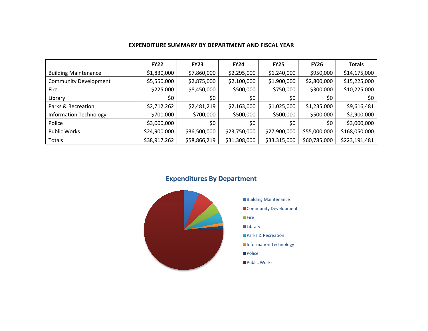| <b>EXPENDITURE SUMMARY BY DEPARTMENT AND FISCAL YEAR</b> |  |  |
|----------------------------------------------------------|--|--|
|----------------------------------------------------------|--|--|

|                               | <b>FY22</b>  | <b>FY23</b>  | <b>FY24</b>  | <b>FY25</b>  | <b>FY26</b>  | <b>Totals</b> |
|-------------------------------|--------------|--------------|--------------|--------------|--------------|---------------|
| <b>Building Maintenance</b>   | \$1,830,000  | \$7,860,000  | \$2,295,000  | \$1,240,000  | \$950,000    | \$14,175,000  |
| <b>Community Development</b>  | \$5,550,000  | \$2,875,000  | \$2,100,000  | \$1,900,000  | \$2,800,000  | \$15,225,000  |
| Fire                          | \$225,000    | \$8,450,000  | \$500,000    | \$750,000    | \$300,000    | \$10,225,000  |
| Library                       | \$0          | \$0          | \$0          | \$0          | \$0          | \$0           |
| Parks & Recreation            | \$2,712,262  | \$2,481,219  | \$2,163,000  | \$1,025,000  | \$1,235,000  | \$9,616,481   |
| <b>Information Technology</b> | \$700,000    | \$700,000    | \$500,000    | \$500,000    | \$500,000    | \$2,900,000   |
| Police                        | \$3,000,000  | \$0          | \$0\$        | \$0\$        | \$0          | \$3,000,000   |
| <b>Public Works</b>           | \$24,900,000 | \$36,500,000 | \$23,750,000 | \$27,900,000 | \$55,000,000 | \$168,050,000 |
| <b>Totals</b>                 | \$38,917,262 | \$58,866,219 | \$31,308,000 | \$33,315,000 | \$60,785,000 | \$223,191,481 |

## **Expenditures By Department**

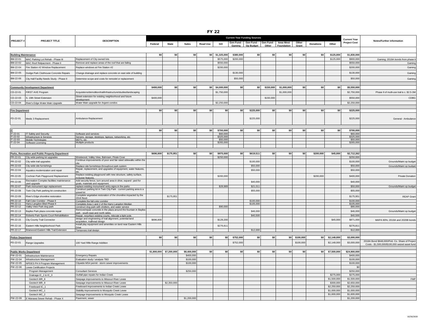|--|--|

|                             |                                                                | <b>DESCRIPTION</b>                                                                               |           | <b>Current Year Funding Sources</b> |                        |          |                       |           |                                                         | <b>Current Year</b> |                   |                |                  |             |                        |                                                                                                    |
|-----------------------------|----------------------------------------------------------------|--------------------------------------------------------------------------------------------------|-----------|-------------------------------------|------------------------|----------|-----------------------|-----------|---------------------------------------------------------|---------------------|-------------------|----------------|------------------|-------------|------------------------|----------------------------------------------------------------------------------------------------|
| <b>PROJECT:</b>             | <b>PROJECT TITLE</b>                                           |                                                                                                  | Federal   | <b>State</b>                        | Sales                  | Road Use | GO                    | Gaming    | Gen Fund - Gen Fund - Gen Fund - Iowa West<br>Op Budget | Other               | <b>Foundation</b> | Other<br>Grant | <b>Donations</b> | Other       | <b>Project Cost</b>    | Notes/Further information                                                                          |
|                             |                                                                |                                                                                                  |           |                                     |                        |          |                       |           |                                                         |                     |                   |                |                  |             |                        |                                                                                                    |
| <b>Building Maintenance</b> |                                                                |                                                                                                  | \$0       | \$0                                 | \$0                    |          | \$0 \$1,325,000       | \$380,000 | \$0                                                     | \$0                 | \$0               | \$0            | \$0              | \$125,000   | \$1,830,000            |                                                                                                    |
| BM-22-01                    | MAC Parking Lot Rehab - Phase III                              | Replacement of City owned lots                                                                   |           |                                     |                        |          | \$575,000             | \$200,000 |                                                         |                     |                   |                |                  | \$125,000   | \$900,000              | Gaming; 2019A bonds from phase II                                                                  |
| BM-22-02                    | MAC Roof Relpacment - Phase II                                 | Remove and replace areas of the roof that are failing                                            |           |                                     |                        |          | \$550,000             |           |                                                         |                     |                   |                |                  |             | \$550,000              | Gaming                                                                                             |
| BM-22-04                    | Fire Station #2 Window Replacement                             | Replace windows at Fire Station #2                                                               |           |                                     |                        |          | \$200,000             |           |                                                         |                     |                   |                |                  |             | \$200,000              | Gaming                                                                                             |
| BM-22-05                    | Dodge Park Clubhouse Concrete Repairs                          | Change drainage and replace concrete on east side of building                                    |           |                                     |                        |          |                       | \$130,000 |                                                         |                     |                   |                |                  |             | \$130,000              | Gaming                                                                                             |
| BM-22-06                    | City Hall Facility Needs Study - Phase II                      | Determine scope and costs for remodel or replacement                                             |           |                                     |                        |          |                       | \$50,000  |                                                         |                     |                   |                |                  |             | \$50,000               | Gaming                                                                                             |
|                             | <b>Community Development Department</b>                        |                                                                                                  | \$400,000 | \$0                                 | \$0                    |          | \$0 \$4,000,000       | \$0       | \$0                                                     | \$150,000           | \$1,000,000       | \$0            | \$0              | \$0         | \$5,550,000            |                                                                                                    |
| CD-22-01                    | FIRST AVE Program                                              | Acquistions/demolition/trail/infrastructure/studies/landscaping                                  |           |                                     |                        |          | \$1,750,000           |           |                                                         |                     | \$1,000,000       |                |                  |             | \$2,750,000            | Phase II of multi-use trail is c. \$2.5-3M                                                         |
|                             |                                                                | Street extension for existing neighborhood and future                                            |           |                                     |                        |          |                       |           |                                                         |                     |                   |                |                  |             |                        |                                                                                                    |
| CD-22-03                    | S. 19th Street Extension                                       | development                                                                                      | \$400,000 |                                     |                        |          |                       |           |                                                         | \$150,000           |                   |                |                  |             | \$550,000              | CDBG                                                                                               |
| CD-22-04                    | River's Edge Water Main Upgrade                                | Water Main upgrade for Argent condos                                                             |           |                                     |                        |          | \$2,250,000           |           |                                                         |                     |                   |                |                  |             | \$2,250,000            |                                                                                                    |
| <b>Fire Department</b>      |                                                                |                                                                                                  | \$0       | \$0                                 | \$0                    | \$0      | \$0                   | \$0       | \$225,000                                               | \$0                 | \$0               | \$0            | \$0              | \$0         | \$225,000              |                                                                                                    |
| FD-22-01                    | Medic 3 Replacement                                            | Ambulance Replacement                                                                            |           |                                     |                        |          |                       |           | \$225,000                                               |                     |                   |                |                  |             | \$225,000              | General - Ambulance                                                                                |
|                             |                                                                |                                                                                                  | \$0       | \$0                                 | \$0                    | \$0      | \$700,000             | \$0       | \$0                                                     | \$0                 | \$0               | \$0            | \$0              | \$0         | \$700,000              |                                                                                                    |
| IT-22-01                    | IT Safety and Security                                         | Software and services                                                                            |           |                                     |                        |          | \$60,000              |           |                                                         |                     |                   |                |                  |             | \$60,000               |                                                                                                    |
| $IT-22-02$<br>IT-22-03      | Infrastructure & Services                                      | Servers, storage, desktops, laptops, networking, etc.                                            |           |                                     |                        |          | \$325,000<br>\$50,000 |           |                                                         |                     |                   |                |                  |             | \$325,000<br>\$50,000  |                                                                                                    |
| IT-22-04                    | Mobile Technlogies<br>Software Licensing                       | MDTs, etc.<br>Multiple products                                                                  |           |                                     |                        |          | \$265,000             |           |                                                         |                     |                   |                |                  |             | \$265,000              |                                                                                                    |
|                             |                                                                |                                                                                                  |           |                                     |                        |          |                       |           |                                                         |                     |                   |                |                  |             |                        |                                                                                                    |
|                             | Parks, Recreation and Public Property Department               |                                                                                                  | \$696,800 | \$175,951                           | \$0                    | \$0      | \$975,000             | \$0       | \$619,511                                               | \$0                 | \$0               | \$0            | \$200,000        | \$45,000    | \$2,712,262            |                                                                                                    |
| PR-22-01                    | City wide parking lot upgrades                                 | Westwood, Valley View, Bahnsen, Pirate Cove                                                      |           |                                     |                        |          | \$250,000             |           |                                                         |                     |                   |                |                  |             | \$250,000              |                                                                                                    |
| PR-22-02                    | City wide trail upgrades                                       | Continue improvements of poor and fair rated sidewalks within the                                |           |                                     |                        |          |                       |           | \$100,000                                               |                     |                   |                |                  |             | \$100,000              | Grounds/Maint op budget                                                                            |
| PR-22-03                    | City wide site furnishings                                     | Replace site furnishings throughout park system                                                  |           |                                     |                        |          |                       |           | \$50,000                                                |                     |                   |                |                  |             | \$50,000               | Grounds/Maint op budget                                                                            |
| PR-22-04                    | Aquatics modernization and repair                              | Repair, replacement, and upgrades of equipment, water features.                                  |           |                                     |                        |          |                       |           | \$50,000                                                |                     |                   |                |                  |             | \$50,000               |                                                                                                    |
| PR-22-05                    | Cochran Park Playground Replacement                            | Replace existing playground with new structure, safety surface,<br>inclusive features.           |           |                                     |                        |          | \$200,00              |           |                                                         |                     |                   |                | \$200,000        |             | \$400,000              | <b>Private Donation</b>                                                                            |
| PR-22-06                    | Recreation Complex facilities maintenance                      | Add security fence, turn around area in drive, expand yard for                                   |           |                                     |                        |          |                       |           | \$40,000                                                |                     |                   |                |                  |             | \$40,000               |                                                                                                    |
| PR-22-07                    | ard upgrade<br>Park monument sign replacement                  | coals, materials and equipment.<br>replace existing monument/ entry signs in the parks           |           |                                     |                        |          | \$28,989              |           | \$21,01                                                 |                     |                   |                |                  |             | \$50,000               | Grounds/Maint op budget                                                                            |
| PR-22-08                    | win City Park parking lot construction                         | Construct parking lot in Twin City Park - current parking area is a                              |           |                                     |                        |          |                       |           | \$55,000                                                |                     |                   |                |                  |             | \$55,000               |                                                                                                    |
|                             |                                                                | gravel lot<br>Complete vegetative restoration of the shoreline impacted by the                   |           |                                     |                        |          |                       |           |                                                         |                     |                   |                |                  |             |                        |                                                                                                    |
| PR-22-09                    | River's Edge shoreline restoration                             | 2018 flood.                                                                                      |           | \$175,951                           |                        |          |                       |           |                                                         |                     |                   |                |                  |             | \$175,951              | <b>REAP Grant</b>                                                                                  |
| PR-22-10<br>PR-22-11        | Fall Color Corridor - Phase II<br>Harry Langdon Blvd Phase II  | Complete the fall color corridor<br>Complete Area 1 and 2 of the Harry Langdon Median            |           |                                     |                        |          |                       |           | \$100,000<br>\$105,000                                  |                     |                   |                |                  |             | \$100,000<br>\$105,000 |                                                                                                    |
| PR-22-12                    | Valley View Park dog park                                      | construct dog park with shelters, and water service                                              |           |                                     |                        |          | \$90,000              |           |                                                         |                     |                   |                |                  |             | \$90,000               |                                                                                                    |
| PR-22-13                    | Bayliss Park plaza concrete repair                             | Remove/repair concrete in the plaza around the fountain in Bayliss                               |           |                                     |                        |          |                       |           | \$46,000                                                |                     |                   |                |                  |             | \$46,000               | Grounds/Maint op budget                                                                            |
| PR-22-14                    | Roberts Park Sports Court Rehabilitation                       | park - south-east and north sides.<br>Repair, resurface existing courts, relocate a light pole.  |           |                                     |                        |          |                       |           | \$40,500                                                |                     |                   |                |                  |             | \$40,500               |                                                                                                    |
| PR-22-15                    | City County Trail Connector                                    | design and engineering of trail alignment, potential land                                        | \$696,800 |                                     |                        |          | \$129,20              |           |                                                         |                     |                   |                |                  | \$45,000    | \$871,000              | MAPA 80%; 2019A and 2020B bonds                                                                    |
| PR-22-16                    | Eastern Hills Neighborhood Park                                | acquisition, trailhead design<br>Install play equipment and amenities on land near Eastern Hills |           |                                     |                        |          | \$276,81              |           |                                                         |                     |                   |                |                  |             | \$276,81               |                                                                                                    |
| PR-22-17                    | Briarwood-Eastern Hills Trail Extension                        | )rive<br>Temporary trail design                                                                  |           |                                     |                        |          |                       |           | \$12,000                                                |                     |                   |                |                  |             | \$12,000               |                                                                                                    |
|                             |                                                                |                                                                                                  |           |                                     |                        |          |                       |           |                                                         |                     |                   |                |                  |             |                        |                                                                                                    |
| <b>Police Department</b>    |                                                                |                                                                                                  | \$0       | \$0                                 | \$0                    | \$0      | \$0                   | \$752,000 | \$0                                                     | \$0                 |                   | \$0 \$100,000  | \$0              | \$2,148,000 | \$3,000,000            |                                                                                                    |
| PD-22-01                    | Range Upgrades                                                 | 100 Yard Rifle Range Addition                                                                    |           |                                     |                        |          |                       | \$752,000 |                                                         |                     |                   | \$100,000      |                  | \$2,148,000 | \$3,000,000            | 2018A Bond \$648,000/Pott, Co. Share of Project<br>Costs - \$1,500,000/\$100,000 seized asset fund |
|                             |                                                                |                                                                                                  |           |                                     |                        |          |                       |           |                                                         |                     |                   |                |                  |             |                        |                                                                                                    |
|                             | <b>Public Works Department</b>                                 |                                                                                                  |           | \$1,800,000 \$7,200,000             | \$8,400,000            | \$0      | \$0                   | \$0       | \$0                                                     | \$0                 | \$0               | \$0            | \$0              | \$7,500,000 | \$24,900,000           |                                                                                                    |
| PW-22-01                    | Infrastructure Maintenance                                     | <b>Emergency Repairs</b>                                                                         |           |                                     | \$400,000              |          |                       |           |                                                         |                     |                   |                |                  |             | \$400,000              |                                                                                                    |
| PW-22-04                    | Infrastructure Management                                      | Evaluation study / analysis TBD                                                                  |           |                                     | \$100,000<br>\$100,000 |          |                       |           |                                                         |                     |                   |                |                  |             | \$100,000<br>\$100,000 |                                                                                                    |
| PW-22-05<br>PW-22-06        | NPDES PH II Program Management<br>Levee Certification Projects | Citywide MS4 permit - storm sewer improvements                                                   |           |                                     |                        |          |                       |           |                                                         |                     |                   |                |                  |             | \$0                    |                                                                                                    |
|                             | Program Management                                             | <b>Consultant Services</b>                                                                       |           |                                     | \$250,000              |          |                       |           |                                                         |                     |                   |                |                  |             | \$250,000              |                                                                                                    |
|                             | Drainage IC_2 & IC_3                                           | Outfall pipe repairs for Indian Creek                                                            |           |                                     |                        |          |                       |           |                                                         |                     |                   |                |                  | \$275,000   | \$275,000              |                                                                                                    |
|                             | Geotech MR_8                                                   | Seepage improvements to Missouri River Levee                                                     |           |                                     |                        |          |                       |           |                                                         |                     |                   |                |                  | \$1,500,000 | \$1,500,000            | <b>FMP</b>                                                                                         |
|                             | Geotech MR_9                                                   | Seepage improvements to Missouri River Levee                                                     |           | \$2,350,000                         |                        |          |                       |           |                                                         |                     |                   |                |                  | \$300,000   | \$2,650,000            |                                                                                                    |
|                             | Freeboard IC_1                                                 | Freeboard improvements to Indian Creek Levee                                                     |           |                                     |                        |          |                       |           |                                                         |                     |                   |                |                  | \$2,250,000 | \$2,250,000            |                                                                                                    |
|                             | Geotech MC 1                                                   | Stability improvements to Mosquito Creek Levee                                                   |           |                                     |                        |          |                       |           |                                                         |                     |                   |                |                  | \$1,000,000 | \$1,000,000            |                                                                                                    |
|                             | Geotech MC_2                                                   | Seepage Improvements to Mosquito Creek Levee                                                     |           |                                     |                        |          |                       |           |                                                         |                     |                   |                |                  | \$1,600,000 | \$1,600,000            |                                                                                                    |
|                             | PW-22-09 E Manawa Sewer Rehab - Phase X                        | Pavement, sewer                                                                                  |           |                                     | \$1,200,000            |          |                       |           |                                                         |                     |                   |                |                  |             | \$1,200,000            |                                                                                                    |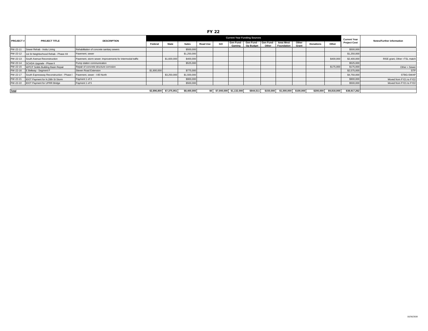#### FY 22

|                 |                                              |                                                            |             | <b>Current Year Funding Sources</b> |             |                 |    |                             |                                                        |           |                                |                |                  |             | <b>Current Year</b> | <b>Notes/Further information</b> |
|-----------------|----------------------------------------------|------------------------------------------------------------|-------------|-------------------------------------|-------------|-----------------|----|-----------------------------|--------------------------------------------------------|-----------|--------------------------------|----------------|------------------|-------------|---------------------|----------------------------------|
| <b>PROJECT#</b> | <b>PROJECT TITLE</b>                         | <b>DESCRIPTION</b>                                         | Federa      | <b>State</b>                        | Sales       | <b>Road Use</b> | GO |                             | Gen Fund - Gen Fund - Gen Fund -<br>Gaming   Op Budget | Other     | <b>Iowa West</b><br>Foundation | Other<br>Grant | <b>Donations</b> | Other       | <b>Project Cost</b> |                                  |
| PW-22-11        | Sewer Rehab - Insitu Lining                  | Rehabilitation of concrete sanitary sewers                 |             |                                     | \$500,000   |                 |    |                             |                                                        |           |                                |                |                  |             | \$500,000           |                                  |
| PW-22-12        | 1st St Neighborhood Rehab - Phase XII        | Pavement, sewer                                            |             |                                     | \$1,250,000 |                 |    |                             |                                                        |           |                                |                |                  |             | \$1,250,000         |                                  |
| PW-22-13        | South Avenue Reconstruction                  | Pavement, storm sewer; Improvements for intermodal traffic |             | \$1,600,000                         | \$400,000   |                 |    |                             |                                                        |           |                                |                |                  | \$400,000   | \$2,400,000         | RISE grant, Other =TSL match     |
| PW-22-14        | SCADA Upgrade - Phase II                     | Pump station communication                                 |             |                                     | \$525,000   |                 |    |                             |                                                        |           |                                |                |                  |             | \$525,000           |                                  |
|                 | PW-22-15 WPCP Solids Building Basin Repair   | Repair of concrete structure corrosion                     |             |                                     |             |                 |    |                             |                                                        |           |                                |                |                  | \$175,000   | \$175,000           | Other = Sewer                    |
| PW-22-16        | E Beltway - Segment F                        | Steven Road Extension                                      | \$1,800,000 |                                     | \$775,000   |                 |    |                             |                                                        |           |                                |                |                  |             | \$2,575,000         | <b>STP</b>                       |
| PW-22-17        | South Expressway Reconstruction - Phase I    | Pavement, sewer - I-80 North                               |             | \$3,250,000                         | \$1,500,000 |                 |    |                             |                                                        |           |                                |                |                  |             | \$4,750,000         | STBG-SWAF                        |
| PW-22-21        | IDOT Payment for N.28th St Storm             | Payment 1 of 3                                             |             |                                     | \$900,000   |                 |    |                             |                                                        |           |                                |                |                  |             | \$900,000           | Moved from FY21 to FY22          |
|                 | PW-22-22 <b>IDOT Payment for UPRR Bridge</b> | Payment 1 of 5                                             |             |                                     | \$500,000   |                 |    |                             |                                                        |           |                                |                |                  |             | \$500,000           | Moved from FY21 to FY22          |
|                 |                                              |                                                            |             |                                     |             |                 |    |                             |                                                        |           |                                |                |                  |             |                     |                                  |
| <b>Total</b>    |                                              |                                                            | \$2,896,800 | \$7,375,951                         | \$8,400,000 |                 |    | \$0 \$7,000,000 \$1,132,000 | \$844,511                                              | \$150,000 | \$1,000,000                    | \$100,000      | \$200,000        | \$9,818,000 | \$38,917,262        |                                  |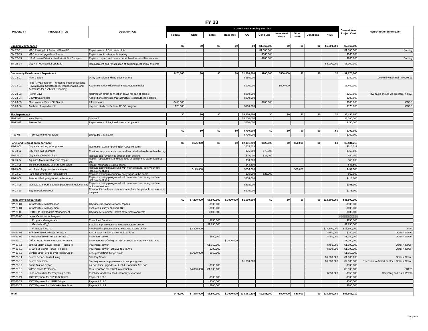|                                |                                                                                        |                                                                                                                        |           |              | <b>FY 23</b>           |                                     |                                      |             |           |          |                  |                  |                            |                                              |
|--------------------------------|----------------------------------------------------------------------------------------|------------------------------------------------------------------------------------------------------------------------|-----------|--------------|------------------------|-------------------------------------|--------------------------------------|-------------|-----------|----------|------------------|------------------|----------------------------|----------------------------------------------|
|                                |                                                                                        |                                                                                                                        |           |              |                        | <b>Current Year Funding Sources</b> |                                      |             |           |          |                  |                  | <b>Current Year</b>        |                                              |
| <b>PROJECT#</b>                | <b>PROJECT TITLE</b>                                                                   | <b>DESCRIPTION</b>                                                                                                     | Federal   | <b>State</b> | <b>Sales</b>           | <b>Road Use</b>                     | GO                                   | Gen Fund    | lowa West | Other    | <b>Donations</b> | Other            | <b>Project Cost</b>        | Notes/Further information                    |
|                                |                                                                                        |                                                                                                                        |           |              |                        |                                     |                                      |             | Grant     | Gran     |                  |                  |                            |                                              |
| <b>Building Maintenance</b>    |                                                                                        |                                                                                                                        | \$0       | \$0          | \$0                    | \$0                                 | \$0                                  | \$1,860,000 | \$0       | \$0      | \$0              | \$6,000,000      | \$7,860,000                |                                              |
| BM-23-01                       | MAC Parking Lot Rehab - Phase IV                                                       | Replacement of City owned lots                                                                                         |           |              |                        |                                     |                                      | \$1,000,000 |           |          |                  |                  | \$1,000,000                | Gaming                                       |
| BM-22-03                       | MAC Arena Upgrades - Phase I                                                           | Replace south retractable seating                                                                                      |           |              |                        |                                     |                                      | \$660,000   |           |          |                  |                  | \$660,000                  |                                              |
| BM-23-03                       | UP Museum Exterior Handrails & Fire Escapes                                            | Replace, repair, and paint exterior handrails and fire escapes                                                         |           |              |                        |                                     |                                      | \$200,000   |           |          |                  |                  | \$200,000                  | Gaming                                       |
| BM-23-04                       | City Hall Mechanical Upgrade                                                           | Replacement and rehabilation of building mechanical systems                                                            |           |              |                        |                                     |                                      |             |           |          |                  | \$6,000,000      | \$6,000,000                |                                              |
|                                |                                                                                        |                                                                                                                        |           |              |                        |                                     |                                      |             |           |          |                  |                  |                            |                                              |
| CD-23-01                       | <b>Community Development Department</b><br>River's Edge                                | Utility extension and site development                                                                                 | \$475,000 | \$0          | \$0                    |                                     | \$0 \$1,700,000<br>\$250,000         | \$200,000   | \$500,000 | \$0      | \$0              | \$0              | \$2,875,000<br>\$250,000   | delete if water main is covered              |
|                                | FIRST AVE Program (Furthering Interconnections,                                        |                                                                                                                        |           |              |                        |                                     |                                      |             |           |          |                  |                  |                            |                                              |
| CD-23-02                       | Revitalization, Streetscapes, Transportation, and<br>Aesthetics for a Vibrant Economy) | Acquisitions/demolition/trail/infrastructure/studies                                                                   |           |              |                        |                                     | \$900,000                            |             | \$500,000 |          |                  |                  | \$1,400,000                |                                              |
| CD-23-03                       | Power Drive                                                                            | North/south street connection (pays for part of project)                                                               |           |              |                        |                                     | \$250,000                            |             |           |          |                  |                  | \$250,000                  | How much should we program, if any?          |
| CD-23-04                       | Downtown projects                                                                      | Acquisitions/demolition/infrastructure/studies/façade grants                                                           |           |              |                        |                                     | \$200,000                            |             |           |          |                  |                  | \$200,000                  |                                              |
| CD-23-05                       | 22nd Avenue/South 6th Street                                                           | Infrastructure                                                                                                         | \$400,000 |              |                        |                                     |                                      | \$200,000   |           |          |                  |                  | \$600,000                  | CDBG                                         |
| CD-23-06                       | Analysis of Impediments                                                                | required study for Federal CDBG program                                                                                | \$75,000  |              |                        |                                     | \$100,000                            |             |           |          |                  |                  | \$175,000                  | CDBG                                         |
| <b>Fire Department</b>         |                                                                                        |                                                                                                                        | \$0       | \$0          | \$0                    |                                     | \$8,450,000                          | \$0         | \$0       | \$0      | \$0              | \$0              | \$8,450,000                |                                              |
| FD-23-01                       | New Station                                                                            | Station 7                                                                                                              |           |              |                        |                                     | \$8,000,000                          |             |           |          |                  |                  | \$8,000,000                |                                              |
| FD-23-02                       | Rescue 30                                                                              | Replacement of Regional Hazmat Apparatus                                                                               |           |              |                        |                                     | \$450,000                            |             |           |          |                  |                  | \$450,000                  |                                              |
|                                |                                                                                        |                                                                                                                        |           |              |                        |                                     |                                      |             |           |          |                  |                  |                            |                                              |
| ΙT                             |                                                                                        |                                                                                                                        | \$0       | \$0          | \$0                    | \$0                                 | \$700,000                            | \$0         | \$0       | \$0      | \$0              | \$0              | \$700,000                  |                                              |
| IT-23-01                       | IT Software and Hardware                                                               | Computer Equipment                                                                                                     |           |              |                        |                                     | \$700,000                            |             |           |          |                  |                  | \$700,000                  |                                              |
|                                |                                                                                        |                                                                                                                        |           |              |                        |                                     |                                      |             |           |          |                  |                  |                            |                                              |
| PR-23-01                       | <b>Parks and Recreation Department</b><br>City wide parking lot upgrades               | Recreation Center (parking lot A&C), Robert's                                                                          | \$0       | \$175,000    | \$0                    | \$0                                 | \$2,131,219<br>\$615,719             | \$125,000   | \$0       | \$50,000 | \$0              | \$0              | \$2,481,219<br>\$615,719   |                                              |
| PR-23-02                       | City wide trail upgrades                                                               | Continue improvements poor and fair rated sidewalks within the city                                                    |           |              |                        |                                     | \$75,000                             | \$75,000    |           |          |                  |                  | \$150,000                  |                                              |
| PR-23-03                       |                                                                                        |                                                                                                                        |           |              |                        |                                     | \$25,000                             | \$25,000    |           |          |                  |                  | \$50,000                   |                                              |
| PR-23-04                       | City wide site furnishings<br>Aquatics Modernization and Repair                        | Replace site furnishings through park system<br>Repair, replacement, and upgrades of equipment, water features,        |           |              |                        |                                     | \$50,000                             |             |           |          |                  |                  | \$50,000                   |                                              |
| PR-23-05                       |                                                                                        |                                                                                                                        |           |              |                        |                                     | \$43,500                             |             |           |          |                  |                  | \$43,500                   |                                              |
| PR-23-06                       | Sunset Park sports court rehabilitation                                                | Repair, resurface existing courts<br>Replace existing playground with new structure, safety surface,                   |           | \$175,000    |                        |                                     | \$206,000                            |             |           | \$50,000 |                  |                  | \$431,000                  |                                              |
|                                | Kirn Park playground replacement                                                       | inclusive features                                                                                                     |           |              |                        |                                     |                                      |             |           |          |                  |                  |                            |                                              |
| PR-23-07                       | Park monument sign replacement                                                         | Replace existing monument/ entry signs in the parks<br>Replace existing playground with new structure, safety surface, |           |              |                        |                                     | \$25,000                             | \$25,000    |           |          |                  |                  | \$50,000                   |                                              |
| PR-23-08                       | Prospect Park playground replacement                                                   | inclusive features                                                                                                     |           |              |                        |                                     | \$418,000                            |             |           |          |                  |                  | \$418,000                  |                                              |
| PR-23-09                       | Manawa City Park upgrade playground replacement                                        | Replace existing playground with new structure, safety surface,<br>inclusive features.                                 |           |              |                        |                                     | \$398,000                            |             |           |          |                  |                  | \$398,000                  |                                              |
| PR-23-10                       | <b>Bayliss Park Restroom</b>                                                           | Construct/ install new restroom to replace the portable restrooms in<br>the park                                       |           |              |                        |                                     | \$275,000                            |             |           |          |                  |                  | \$275,000                  |                                              |
|                                |                                                                                        |                                                                                                                        |           |              |                        |                                     |                                      |             |           |          |                  |                  |                            |                                              |
| <b>Public Works Department</b> |                                                                                        |                                                                                                                        | \$0       | \$7,200,000  | \$8,500,000            | \$1,000,000                         | \$1,000,000                          | \$0         | \$0       | \$0      |                  | \$0 \$18,800,000 | \$36,500,000               |                                              |
| PW-23-01<br>PW-23-04           | Infrastructure Maintenance<br>Infrastructure Management                                | Citywide street and sidewalk repairs<br>Evaluation study / analysis TBD                                                |           |              | \$500,000<br>\$100,000 |                                     |                                      |             |           |          |                  |                  | \$500,000<br>\$100,000     |                                              |
| PW-23-05                       | NPDES PH II Program Management                                                         | Citywide MS4 permit - storm sewer improvements                                                                         |           |              | \$100,000              |                                     |                                      |             |           |          |                  |                  | \$100,000                  |                                              |
| PW-23-06                       | Levee Certification Program                                                            |                                                                                                                        |           |              |                        |                                     |                                      |             |           |          |                  |                  |                            |                                              |
|                                | Program Management                                                                     | <b>Consultant Services</b>                                                                                             |           |              | \$250,000              |                                     |                                      |             |           |          |                  |                  | \$250,000                  |                                              |
|                                | Geotech MC_3                                                                           | Stability improvements to Mosquito Creek Levee                                                                         |           |              | \$1,250,000            |                                     |                                      |             |           |          |                  |                  | \$1,250,000                |                                              |
|                                | Freeboard MC_1                                                                         | Freeboard improvements to Mosquito Creek Levee                                                                         |           | \$2,200,000  |                        |                                     |                                      |             |           |          |                  | \$14,300,000     | \$16,500,000               | <b>FMP</b>                                   |
| PW-23-08                       | 30th Ave Sewer Rehab - Phase I                                                         | San. Sewer - Indian Creek to S. 11th St                                                                                |           |              |                        |                                     |                                      |             |           |          |                  | \$750,000        | \$750,000                  | Other = Sewer                                |
| PW-23-09                       | E Manawa Sewer Rehab - Phase XI                                                        | Pavement, sewer                                                                                                        |           |              | \$800,000              |                                     |                                      |             |           |          |                  | \$450,000        | \$1,250,000                | $Other = Sewer$                              |
| PW-23-10                       | Gifford Road Reconstruction - Phase I                                                  | Pavement resurfacing, S. 35th St south of Vets Hwy, 55th Ave                                                           |           |              |                        | \$1,000,000                         |                                      |             |           |          |                  |                  | \$1,000,000                |                                              |
| PW-23-11                       | 28th St Storm Sewer Rehab - Phase III                                                  | Pavement, sewer                                                                                                        |           |              | \$1,050,000            |                                     |                                      |             |           |          |                  | \$450,000        | \$1,500,000                | Other = Sewer                                |
| PW-23-12<br>PW-23-13           | S. 23rd St Sewer Rehab - Phase I<br>Benton Street Bridge over Indian Creek             | Pavement, sewer - 6th Ave to 3rd Ave<br>Anticipated IDOT bridge funds                                                  |           | \$1,000,000  | \$700,000<br>\$650,000 |                                     |                                      |             |           |          |                  | \$300,000        | \$1,000,000<br>\$1,650,000 | $Other = Sewer$                              |
| PW-23-14                       | Sewer Rehab - Insitu Lining                                                            | Sanitary Sewer                                                                                                         |           |              |                        |                                     |                                      |             |           |          |                  | \$1,000,000      | \$1,000,000                | $Other = Sewer$                              |
| PW-23-15                       | Sewer Extension                                                                        | Sanitary sewer improvements to support growth                                                                          |           |              |                        |                                     | \$1,000,000                          |             |           |          |                  | \$1,000,000      | \$2,000,000                | Extension to Airport or other, Other = Sewer |
| PW-23-17                       | Pump Station Rehab                                                                     | Air Scrubber upgrades at 21st & K and 6th Ave San                                                                      |           |              | \$500,000              |                                     |                                      |             |           |          |                  |                  | \$500,000                  |                                              |
| PW-23-18                       | <b>WPCP Flood Protection</b>                                                           | Risk reduction for critical infrastructure                                                                             |           | \$4,000,000  | \$1,000,000            |                                     |                                      |             |           |          |                  |                  | \$5,000,000                | SRF?                                         |
| PW-23-19                       | Land Acquisition for Recycling Center                                                  | Purchase additional land for facility expansion                                                                        |           |              |                        |                                     |                                      |             |           |          |                  | \$550,000        | \$550,000                  | Recycling and Solid Waste                    |
| PW-23-21                       | IDOT Payment for N.28th St Storm                                                       | Payment 2 of 3                                                                                                         |           |              | \$900,000              |                                     |                                      |             |           |          |                  |                  | \$900,000                  |                                              |
| PW-23-22                       | <b>IDOT Payment for UPRR Bridge</b>                                                    | Payment 2 of 5                                                                                                         |           |              | \$500,000              |                                     |                                      |             |           |          |                  |                  | \$500,000                  |                                              |
| PW-23-23                       | IDOT Payment for Nebraska Ave Storm                                                    | Payment 1 of 1                                                                                                         |           |              | \$200,000              |                                     |                                      |             |           |          |                  |                  | \$200,000                  |                                              |
| <b>Total</b>                   |                                                                                        |                                                                                                                        | \$475,000 | \$7,375,000  | \$8,500,000            |                                     | \$1,000,000 \$13,981,219 \$2,185,000 |             | \$500,000 | \$50,000 |                  | \$0 \$24,800,000 | \$58,866,219               |                                              |
|                                |                                                                                        |                                                                                                                        |           |              |                        |                                     |                                      |             |           |          |                  |                  |                            |                                              |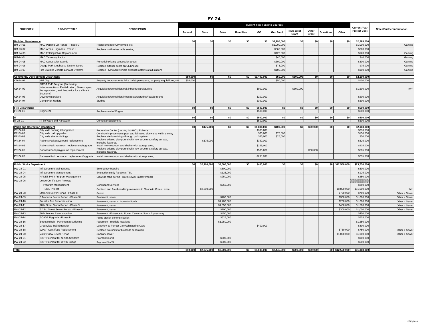|                                         | <b>Current Year Funding Sources</b>                                                                                                          |                                                                                       |          |                      |              |                 |                        |             |                           |                |                  |                  |                                            |                                  |
|-----------------------------------------|----------------------------------------------------------------------------------------------------------------------------------------------|---------------------------------------------------------------------------------------|----------|----------------------|--------------|-----------------|------------------------|-------------|---------------------------|----------------|------------------|------------------|--------------------------------------------|----------------------------------|
| <b>PROJECT#</b>                         | PROJECT TITLE                                                                                                                                | <b>DESCRIPTION</b>                                                                    | Federal  | <b>State</b>         | <b>Sales</b> | <b>Road Use</b> | GO                     | Gen Fund    | <b>Iowa West</b><br>Grant | Other<br>Grant | <b>Donations</b> | Other            | <b>Current Year</b><br><b>Project Cost</b> | <b>Notes/Further information</b> |
| <b>Building Maintenance</b>             |                                                                                                                                              |                                                                                       | \$0      | \$0                  | \$0          | \$0             | \$0                    | \$2,295,000 | \$0                       | \$0            | \$0              | \$0              | \$2,295,000                                |                                  |
| BM-24-01                                | MAC Parking Lot Rehab - Phase V                                                                                                              | Replacement of City owned lots                                                        |          |                      |              |                 |                        | \$1,000,000 |                           |                |                  |                  | \$1,000,000                                | Gaming                           |
| BM-23-02                                | MAC Arena Upgrades - Phase II                                                                                                                | Replace north retractable seating                                                     |          |                      |              |                 |                        | \$660,000   |                           |                |                  |                  | \$660,000                                  |                                  |
| BM-24-03                                | <b>MAC Folding Chair Replacement</b>                                                                                                         |                                                                                       |          |                      |              |                 |                        | \$120,000   |                           |                |                  |                  | \$120,000                                  | Gaming                           |
| BM-24-04                                | MAC Two-Way Radios                                                                                                                           |                                                                                       |          |                      |              |                 |                        | \$40,000    |                           |                |                  |                  | \$40,000                                   | Gaming                           |
| BM-24-05                                | <b>MAC Concession Stands</b>                                                                                                                 | Remodel existing consession areas                                                     |          |                      |              |                 |                        | \$300,000   |                           |                |                  |                  | \$300,000                                  | Gaming                           |
| BM-24-06                                | Dodge Park Clubhouse Exterior Doors                                                                                                          | Replace exterior doors on Clubhouse                                                   |          |                      |              |                 |                        | \$75,000    |                           |                |                  |                  | \$75,000                                   | Gaming                           |
| BM-24-07                                | Fire Stations Vehicle Exhaust Systems                                                                                                        | Replace Plymovent vehicle exhaust systems at all stations                             |          |                      |              |                 |                        | \$100,000   |                           |                |                  |                  | \$100,000                                  | Gaming                           |
|                                         |                                                                                                                                              |                                                                                       |          |                      |              |                 |                        |             |                           |                |                  |                  |                                            |                                  |
| <b>Community Development Department</b> |                                                                                                                                              |                                                                                       | \$50,000 | \$0                  | sol          | \$0             | \$1,400,000            | \$50,000    | \$600,000                 | \$0            | \$0              | \$0              | \$2,100,000                                |                                  |
| CD-24-01                                | Mid City                                                                                                                                     | Property Improvements: bike trails/open space, property acquisitions, site            | \$50,000 |                      |              |                 |                        | \$50,000    |                           |                |                  |                  | \$100,000                                  |                                  |
| CD-24-02                                | FIRST AVE Program (Furthering<br>Interconnections, Revitalization, Streetscapes,<br>Transportation, and Aesthetics for a Vibrant<br>Economy) | Acquisitions/demolition/trail/infrastructure/studies                                  |          |                      |              |                 | \$900,000              |             | \$600,000                 |                |                  |                  | \$1,500,000                                | <b>IWF</b>                       |
| CD-24-03                                | Downtown projects                                                                                                                            | Acquisitions/demolition/infrastructure/studies/facade grants                          |          |                      |              |                 | \$200,000              |             |                           |                |                  |                  | \$200,000                                  |                                  |
| CD-24-04                                | Comp Plan Update                                                                                                                             | <b>Studies</b>                                                                        |          |                      |              |                 | \$300,000              |             |                           |                |                  |                  | \$300,000                                  |                                  |
|                                         |                                                                                                                                              |                                                                                       |          |                      |              |                 |                        |             |                           |                |                  |                  |                                            |                                  |
| <b>Fire Department</b><br>FD-24-01      |                                                                                                                                              |                                                                                       | \$0      | \$0                  | \$0          | \$0             | \$500,000<br>\$500,000 | \$0         | <b>\$0</b>                | \$0            | \$0              | \$0              | \$500,000<br>\$500,000                     |                                  |
|                                         | Engine 21                                                                                                                                    | Replacement of Engine                                                                 |          |                      |              |                 |                        |             |                           |                |                  |                  |                                            |                                  |
|                                         |                                                                                                                                              |                                                                                       | so l     | so l                 | sol          | so l            | \$500.000              | so l        | \$0                       | \$O            | \$0              | \$0              | \$500.000                                  |                                  |
| $IT-24-01$                              | IT Software and Hardware                                                                                                                     | Computer Equipment                                                                    |          |                      |              |                 | \$500,000              |             |                           |                |                  |                  | \$500,000                                  |                                  |
| <b>Parks and Recreation Departmen</b>   |                                                                                                                                              |                                                                                       | \$0      | \$175,000            | \$0          | \$0             | \$1,838,000            | \$100,000   | so l                      | \$50,000       | \$0              | \$0              | \$2,163,000                                |                                  |
| PR-24-01                                | City wide parking lot upgrades                                                                                                               | Recreation Center (parking lot A&C), Robert's                                         |          |                      |              |                 | \$333,000              |             |                           |                |                  |                  | \$333,000                                  |                                  |
| PR-24-02                                | City wide trail upgrades                                                                                                                     | Continue improvements poor and fair rated sidewalks within the city                   |          |                      |              |                 | \$75,000               | \$75,000    |                           |                |                  |                  | \$150,000                                  |                                  |
| PR-24-03                                | City wide site furnishings                                                                                                                   | Replace site furnishings through park system                                          |          |                      |              |                 | \$25,000               | \$25,000    |                           |                |                  |                  | \$50,000                                   |                                  |
| PR-24-04                                | Roberts Park playground replacement                                                                                                          | Replace existing playground with new structure, safety surface,<br>inclusive features |          | \$175,000            |              |                 | \$350,000              |             |                           |                |                  |                  | \$525,000                                  |                                  |
| PR-24-05                                | Roberts Park restroom replacement/upgrade                                                                                                    | Install new restroom and shelter with storage area.                                   |          |                      |              |                 | \$225,000              |             |                           |                |                  |                  | \$225,000                                  |                                  |
| PR-24-06                                | Bahnsen Park playground replacement                                                                                                          | Replace existing playground with new structure, safety surface,<br>inclusive features |          |                      |              |                 | \$535,000              |             |                           | \$50,000       |                  |                  | \$585,000                                  |                                  |
| PR-24-07                                | Bahnsen Park restroom replacement/upgrade                                                                                                    | Install new restroom and shelter with storage area,                                   |          |                      |              |                 | \$295,000              |             |                           |                |                  |                  | \$295,000                                  |                                  |
| <b>Public Works Department</b>          |                                                                                                                                              |                                                                                       | \$0      | \$2,200,000          | \$8,600,000  | \$0             | \$400,000              | \$0         | \$0                       | \$0            |                  | \$0 \$12,550,000 | \$23,750,000                               |                                  |
| PW-24-01                                | Infrastructure Maintenance                                                                                                                   | <b>Emergency Repairs</b>                                                              |          |                      | \$500,000    |                 |                        |             |                           |                |                  |                  | \$500,000                                  |                                  |
| PW-24-04                                | Infrastructure Management                                                                                                                    | Evaluation study / analysis TBD                                                       |          |                      | \$125,000    |                 |                        |             |                           |                |                  |                  | \$125,000                                  |                                  |
| PW-24-05                                | NPDES PH II Program Management                                                                                                               | Citywide MS4 permit - storm sewer improvements                                        |          |                      | \$250,000    |                 |                        |             |                           |                |                  |                  | \$250,000                                  |                                  |
| PW-24-06                                | Levee Certification Projects                                                                                                                 |                                                                                       |          |                      |              |                 |                        |             |                           |                |                  |                  |                                            |                                  |
|                                         | Program Management                                                                                                                           | <b>Consultant Services</b>                                                            |          |                      | \$250,000    |                 |                        |             |                           |                |                  |                  | \$250,000                                  |                                  |
|                                         | Tub D Project                                                                                                                                | Geotech and Freeboard improvements to Mosquito Creek Levee                            |          | \$2,200,000          |              |                 |                        |             |                           |                |                  | \$8,800,000      | \$11,000,000                               | <b>FMP</b>                       |
| PW-24-08                                | 30th Ave Sewer Rehab - Phase II                                                                                                              | Sewer                                                                                 |          |                      |              |                 |                        |             |                           |                |                  | \$750,000        | \$750,000                                  | $Other = Sewer$                  |
| PW-24-09                                | E Manawa Sewer Rehab - Phase XII                                                                                                             | Pavement, sewer                                                                       |          |                      | \$700,000    |                 |                        |             |                           |                |                  | \$300,000        | \$1,000,000                                | $Other = Sewer$                  |
| PW-24-10                                | Franklin Ave Reconstruction                                                                                                                  | Pavement, sewer - Lincoln to South                                                    |          |                      | \$1,400,000  |                 |                        |             |                           |                |                  | \$200,000        | \$1,600,000                                | $Other = Sewer$                  |
| PW-24-11                                | 28th Street Storm Rehab - Phase V                                                                                                            | Pavement, sewer                                                                       |          |                      | \$1,050,000  |                 |                        |             |                           |                |                  | \$450,000        | \$1,500,000                                | $Other = Sewer$                  |
| PW-24-12                                | S 23rd Street Sewer Rehab - Phase II                                                                                                         | Pavement, sewer                                                                       |          |                      | \$700,000    |                 |                        |             |                           |                |                  | \$300,000        | \$1,000,000                                | $Other = Sewer$                  |
| PW-24-13                                | 30th Avenue Reconstruction                                                                                                                   | Pavement - Entrance to Power Center at South Expressway                               |          |                      | \$450,000    |                 |                        |             |                           |                |                  |                  | \$450,000                                  |                                  |
| PW-24-14                                | SCADA Upgrade - Phase III                                                                                                                    | Pump station communication                                                            |          |                      | \$525,000    |                 |                        |             |                           |                |                  |                  | \$525,000                                  |                                  |
| PW-24-16                                | Street Rehab - Pavement resurfacing                                                                                                          | Pavement - multiple locations                                                         |          |                      | \$1,250,000  |                 |                        |             |                           |                |                  |                  | \$1,250,000                                |                                  |
| PW-24-17                                | <b>Greenview Trail Extension</b>                                                                                                             | Longview to Forrest Glen/Whispering Oaks                                              |          |                      |              |                 | \$400,000              |             |                           |                |                  |                  | \$400,000                                  |                                  |
| PW-24-18                                | WPCP Centrifuge Replacement                                                                                                                  | Replace two units for biosolids separation                                            |          |                      |              |                 |                        |             |                           |                |                  | \$750,000        | \$750,000                                  | $Other = Sewer$                  |
| PW-24-20                                | Valley View Sewer Rehab                                                                                                                      | Sanitary sewer                                                                        |          |                      |              |                 |                        |             |                           |                |                  | \$1,000,000      | \$1,000,000                                | $Other = Sewer$                  |
| PW-24-21                                | IDOT Payment for N.28th St Storm                                                                                                             | Payment 3 of 3                                                                        |          |                      | \$900,000    |                 |                        |             |                           |                |                  |                  | \$900,000                                  |                                  |
| PW-24-22                                | <b>IDOT Payment for UPRR Bridge</b>                                                                                                          | Payment 3 of 5                                                                        |          |                      | \$500,000    |                 |                        |             |                           |                |                  |                  | \$500,000                                  |                                  |
|                                         |                                                                                                                                              |                                                                                       |          |                      |              |                 |                        |             |                           |                |                  |                  |                                            |                                  |
| <b>Total</b>                            |                                                                                                                                              |                                                                                       |          | \$50,000 \$2,375,000 | \$8,600,000  |                 | \$0 \$4,638,000        | \$2,445,000 | \$600,000                 | \$50,000       |                  |                  | \$0 \$12,550,000 \$31,308,000              |                                  |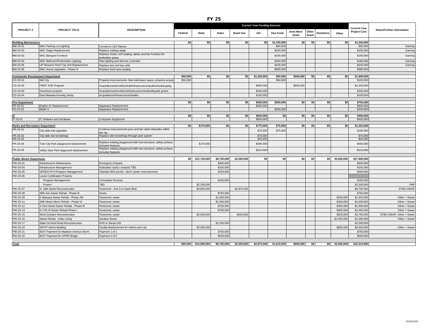|                                        |                                              |                                                                                        |           |                            | <b>FY 25</b> |                 |                        |                        |                           |                                    |                    |                          |                                  |
|----------------------------------------|----------------------------------------------|----------------------------------------------------------------------------------------|-----------|----------------------------|--------------|-----------------|------------------------|------------------------|---------------------------|------------------------------------|--------------------|--------------------------|----------------------------------|
|                                        |                                              |                                                                                        |           |                            |              |                 | <b>Current Year</b>    |                        |                           |                                    |                    |                          |                                  |
| <b>PROJECT#</b>                        | PROJECT TITLE                                | <b>DESCRIPTION</b>                                                                     | Federal   | <b>State</b>               | <b>Sales</b> | <b>Road Use</b> | GO                     | Gen Fund               | <b>lowa West</b><br>Grant | Other<br><b>Donations</b><br>Grant | Other              | <b>Project Cost</b>      | <b>Notes/Further information</b> |
| <b>Building Maintenance</b>            |                                              |                                                                                        | <b>SO</b> | S <sub>0</sub>             | SO           | S <sub>0</sub>  | $ $ so                 | \$1,240,000            | $ $ so                    | <b>SO</b><br>\$0                   | \$0                | \$1,240,000              |                                  |
| BM-25-01                               | MAC Parking Lot Lighting                     | Convert to LED fixtures                                                                |           |                            |              |                 |                        | \$90,000               |                           |                                    |                    | \$90,000                 | Gaming                           |
| BM-25-02                               | MAC Stage Replacement                        | Replace existing stage                                                                 |           |                            |              |                 |                        | \$100,000              |                           |                                    |                    | \$100,000                | Gaming                           |
| BM-25-03                               | <b>MAC Banquet Furniture</b>                 | Replace chairs, soft seating, tables and bar furniture for                             |           |                            |              |                 |                        | \$190,000              |                           |                                    |                    | \$190,000                | Gaming                           |
|                                        |                                              | prefuntion areas                                                                       |           |                            |              |                 |                        |                        |                           |                                    |                    |                          |                                  |
| BM-25-04                               | MAC Ballroom/Prefunction Lighting            | New lighting and dimmer controller                                                     |           |                            |              |                 |                        | \$180,000              |                           |                                    |                    | \$180,000                | Gaming                           |
| BM-25-05                               | UP Museum Roof Top Unit Replacement          | Replace two roof top units                                                             |           |                            |              |                 |                        | \$100,000<br>\$580,000 |                           |                                    |                    | \$100,000<br>\$580,000   | Gaming                           |
| BM-25-06                               | MAC Arena Upgrades - Phase III               | Replace bowl area seating                                                              |           |                            |              |                 |                        |                        |                           |                                    |                    |                          |                                  |
|                                        | <b>Community Development Department</b>      |                                                                                        | \$50,000  | \$0                        | \$0          | SO I            | \$1,200,000            | \$50,000               | \$600,000                 | SO I<br>\$O                        | \$O                | \$1,900,000              |                                  |
| CD-25-01                               | Mid City                                     | Property Improvements: bike trails/open space, property acquisi                        | \$50,000  |                            |              |                 |                        | \$50,000               |                           |                                    |                    | \$100,000                |                                  |
| CD-25-02                               | FIRST AVE Program                            | Acquisitions/demolition/trail/infrastructure/studies/landscaping                       |           |                            |              |                 | \$900,000              |                        | \$600,000                 |                                    |                    | \$1,500,000              |                                  |
| CD-25-03                               | Downtown projects                            | Acquisitions/demolition/infrastructure/studies/façade grants                           |           |                            |              |                 | \$200,000              |                        |                           |                                    |                    | \$200,000                |                                  |
| CD-25-04                               | East Manawa Housing Study                    | Acquisitions/infrastructure/studies                                                    |           |                            |              |                 | \$100,000              |                        |                           |                                    |                    | \$100,000                |                                  |
|                                        |                                              |                                                                                        |           |                            |              |                 |                        |                        |                           |                                    |                    |                          |                                  |
| <b>Fire Department</b><br>FD-25-01     | Engine 41 Replacement                        | Apparatus Replacement                                                                  | \$0       | \$0                        | \$0          | \$0             | \$500,000<br>\$500,000 | \$250,000              | \$0                       | \$0<br>\$0                         | \$0                | \$750,000<br>\$500,000   |                                  |
| FD-25-02                               | Medic 5                                      | Apparatus Replacement                                                                  |           |                            |              |                 |                        | \$250,000              |                           |                                    |                    | \$250,000                |                                  |
|                                        |                                              |                                                                                        |           |                            |              |                 |                        |                        |                           |                                    |                    |                          |                                  |
| IT-25-01                               | IT Software and Hardware                     | Computer Equipment                                                                     | \$0       | <b>SO</b>                  | \$0          | <b>SO</b>       | \$500,000<br>\$500,000 | \$0                    | \$0                       | \$0<br>\$0                         | \$0                | \$500,000<br>\$500,000   |                                  |
|                                        |                                              |                                                                                        |           |                            |              |                 |                        |                        |                           |                                    |                    |                          |                                  |
| <b>Parks and Recreation Department</b> |                                              |                                                                                        | \$0       | \$175,000                  | \$0          | \$0             | \$775,000              | \$75.000               | \$0                       | \$0<br>\$0                         | \$0                | \$1,025,000              |                                  |
| PR-25-01                               | City wide trail upgrades                     | Continue improvements poor and fair rated sidewalks within<br>the city                 |           |                            |              |                 | \$75,000               | \$75,000               |                           |                                    |                    | \$150,000                |                                  |
| PR-25-02<br>PR-25-03                   | City wide site furnishings                   | Replace site furnishings through park system                                           |           |                            |              |                 | \$75,000<br>\$25,000   |                        |                           |                                    |                    | \$75,000<br>\$25,000     |                                  |
| PR-25-04                               | Twin City Park playground replacement        | Replace existing playground with new structure, safety surface,<br>inclusive features. |           | \$175,000                  |              |                 | \$290,000              |                        |                           |                                    |                    | \$465,000                |                                  |
| PR-25-05                               | Valley View Park layground replacement       | Replace existing playground with new structure, safety surface,<br>inclusive features. |           |                            |              |                 | \$310,000              |                        |                           |                                    |                    | \$310,000                |                                  |
|                                        |                                              |                                                                                        |           |                            |              |                 |                        |                        |                           |                                    |                    |                          |                                  |
| <b>Public Works Department</b>         |                                              |                                                                                        |           | \$0 \$12,725,000           | \$8,750,000  | \$2,500,000     | \$0                    | \$0                    | sol                       | \$0                                | \$3,925,000<br>\$0 | \$27,900,000             |                                  |
| PW-25-01                               | Infrastructure Maintenance                   | <b>Emergency Repairs</b>                                                               |           |                            | \$500,000    |                 |                        |                        |                           |                                    |                    | \$500,000                |                                  |
| PW-25-04                               | Infrastructure Management                    | Evaluation study / analysis TBD                                                        |           |                            | \$100,000    |                 |                        |                        |                           |                                    |                    | \$100,000<br>\$200,000   |                                  |
| PW-25-05                               | NPDES PH II Program Management               | Citywide MS4 permit - storm sewer improvements                                         |           |                            | \$200,000    |                 |                        |                        |                           |                                    |                    |                          |                                  |
| PW-25-06                               | Levee Certification Projects                 |                                                                                        |           |                            |              |                 |                        |                        |                           |                                    |                    |                          |                                  |
|                                        | Program Management                           | <b>Consultant Services</b><br><b>TBD</b>                                               |           |                            | \$250,000    |                 |                        |                        |                           |                                    |                    | \$250,000                | <b>FMP</b>                       |
|                                        | Project<br>N. 16th Street Reconstruction     |                                                                                        |           | \$2,200,000<br>\$4,825,000 |              |                 |                        |                        |                           |                                    |                    | \$2,200,000              | STBG-SWAP                        |
| PW-25-07<br>PW-25-08                   | 30th Ave Sewer Rehab - Phase III             | Pavement - Ave G to Nash Blvd<br>Sewer                                                 |           |                            | \$750,000    | \$1,875,000     |                        |                        |                           |                                    |                    | \$6,700,000<br>\$750,000 |                                  |
| PW-25-09                               | E Manawa Sewer Rehab - Phase XIII            |                                                                                        |           |                            | \$1,050,000  |                 |                        |                        |                           |                                    | \$450,000          | \$1,500,000              | Other = $Sewer$                  |
| PW-25-11                               | 28th Street Storm Rehab - Phase VI           | Pavement, sewer<br>Pavement, sewer                                                     |           |                            | \$1,050,000  |                 |                        |                        |                           |                                    | \$450,000          | \$1,500,000              | Other = $Sewer$                  |
| PW-25-12                               | S 23rd Street Sewer Rehab - Phase III        | Pavement, sewer                                                                        |           |                            | \$700,000    |                 |                        |                        |                           |                                    | \$300,000          | \$1,000,000              | Other = $Sewer$                  |
| PW-25-13                               | N 17th St Sewer Rehab-Phase I                | Pavement, sewer                                                                        |           |                            | \$700,000    |                 |                        |                        |                           |                                    | \$300,000          | \$1,000,000              | Other = $Sewer$                  |
| PW-25-15                               | <b>West Graham Reconstruction</b>            | Pavement, sewer                                                                        |           | \$2,500,000                |              | \$625,000       |                        |                        |                           |                                    | \$625,000          | \$3,750,000              | STBG-SWAP, Other = Sewer         |
| PW-25-16                               | Sewer Rehab - Insitu Lining                  | Sanitary Sewer                                                                         |           |                            |              |                 |                        |                        |                           |                                    | \$1,000,000        | \$1,000,000              | Other = $Sewer$                  |
| PW-25-17                               | State Orchard Road Reconstruction            | EHD to Steven Rd                                                                       |           |                            | \$2,200,000  |                 |                        |                        |                           |                                    |                    | \$2,200,000              |                                  |
| PW-25-18                               | <b>WPCP Admin Building</b>                   | Facility Replacement for Admin and Lab                                                 |           | \$3,200,000                |              |                 |                        |                        |                           |                                    | \$800,000          | \$4,000,000              | Other = $Sewer$                  |
| PW-25-21                               | <b>IDOT Payment for Madison Avenue Storm</b> | Payment 1 of 1                                                                         |           |                            | \$750,000    |                 |                        |                        |                           |                                    |                    | \$750,000                |                                  |
| PW-25-22                               | <b>IDOT Payment for UPRR Bridge</b>          | Payment 4 of 5                                                                         |           |                            | \$500,000    |                 |                        |                        |                           |                                    |                    | \$500,000                |                                  |
|                                        |                                              |                                                                                        |           |                            |              |                 |                        |                        |                           |                                    |                    |                          |                                  |

**Total \$50,000 \$12,900,000 \$8,750,000 \$2,500,000 \$2,975,000 \$1,615,000 \$600,000 \$0 \$0 \$3,925,000 \$33,315,000**